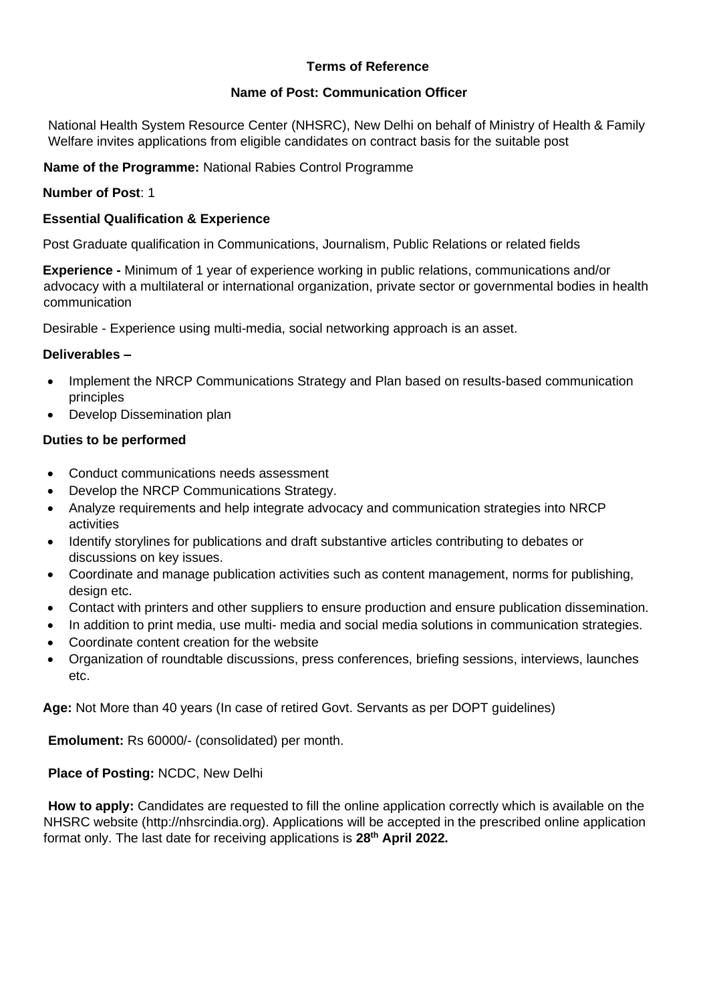### **Terms of Reference**

### **Name of Post: Communication Officer**

National Health System Resource Center (NHSRC), New Delhi on behalf of Ministry of Health & Family Welfare invites applications from eligible candidates on contract basis for the suitable post

**Name of the Programme:** National Rabies Control Programme

### **Number of Post**: 1

### **Essential Qualification & Experience**

Post Graduate qualification in Communications, Journalism, Public Relations or related fields

**Experience -** Minimum of 1 year of experience working in public relations, communications and/or advocacy with a multilateral or international organization, private sector or governmental bodies in health communication

Desirable - Experience using multi-media, social networking approach is an asset.

### **Deliverables –**

- Implement the NRCP Communications Strategy and Plan based on results-based communication principles
- Develop Dissemination plan

### **Duties to be performed**

- Conduct communications needs assessment
- Develop the NRCP Communications Strategy.
- Analyze requirements and help integrate advocacy and communication strategies into NRCP activities
- Identify storylines for publications and draft substantive articles contributing to debates or discussions on key issues.
- Coordinate and manage publication activities such as content management, norms for publishing, design etc.
- Contact with printers and other suppliers to ensure production and ensure publication dissemination.
- In addition to print media, use multi- media and social media solutions in communication strategies.
- Coordinate content creation for the website
- Organization of roundtable discussions, press conferences, briefing sessions, interviews, launches etc.

**Age:** Not More than 40 years (In case of retired Govt. Servants as per DOPT guidelines)

**Emolument:** Rs 60000/- (consolidated) per month.

### **Place of Posting:** NCDC, New Delhi

**How to apply:** Candidates are requested to fill the online application correctly which is available on the NHSRC website (http://nhsrcindia.org). Applications will be accepted in the prescribed online application format only. The last date for receiving applications is **28 th April 2022.**